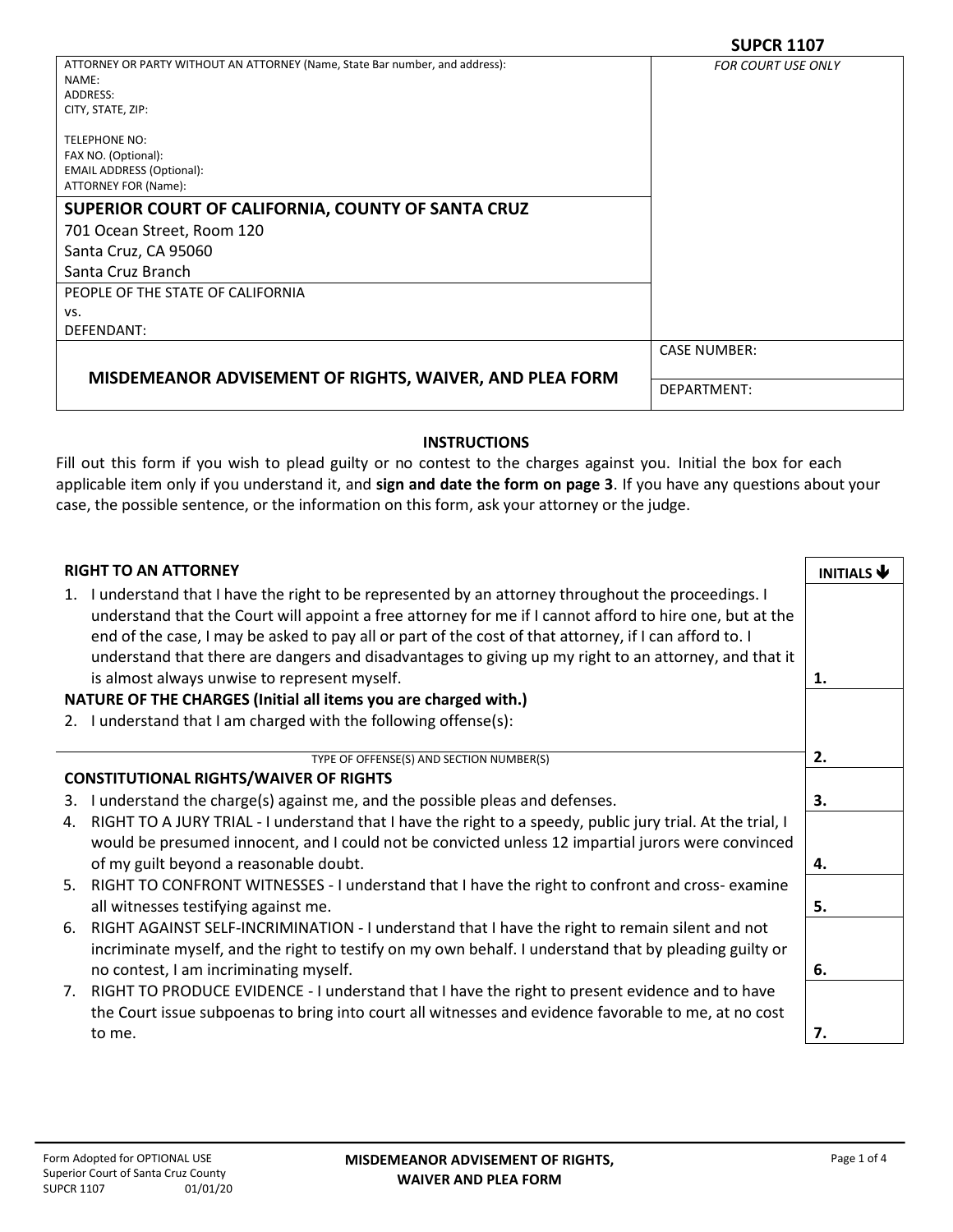|                                                                              | JUFLI\ 11V/               |  |  |
|------------------------------------------------------------------------------|---------------------------|--|--|
| ATTORNEY OR PARTY WITHOUT AN ATTORNEY (Name, State Bar number, and address): | <b>FOR COURT USE ONLY</b> |  |  |
| NAME:                                                                        |                           |  |  |
| ADDRESS:                                                                     |                           |  |  |
| CITY, STATE, ZIP:                                                            |                           |  |  |
|                                                                              |                           |  |  |
| <b>TELEPHONE NO:</b>                                                         |                           |  |  |
| FAX NO. (Optional):                                                          |                           |  |  |
| <b>EMAIL ADDRESS (Optional):</b>                                             |                           |  |  |
| ATTORNEY FOR (Name):                                                         |                           |  |  |
| SUPERIOR COURT OF CALIFORNIA, COUNTY OF SANTA CRUZ                           |                           |  |  |
| 701 Ocean Street, Room 120                                                   |                           |  |  |
| Santa Cruz, CA 95060                                                         |                           |  |  |
| Santa Cruz Branch                                                            |                           |  |  |
| PEOPLE OF THE STATE OF CALIFORNIA                                            |                           |  |  |
| VS.                                                                          |                           |  |  |
| DEFENDANT:                                                                   |                           |  |  |
|                                                                              | <b>CASE NUMBER:</b>       |  |  |
| MISDEMEANOR ADVISEMENT OF RIGHTS, WAIVER, AND PLEA FORM                      |                           |  |  |
|                                                                              | DEPARTMENT:               |  |  |
|                                                                              |                           |  |  |

## **INSTRUCTIONS**

Fill out this form if you wish to plead guilty or no contest to the charges against you. Initial the box for each applicable item only if you understand it, and **sign and date the form on page 3**. If you have any questions about your case, the possible sentence, or the information on this form, ask your attorney or the judge.

# **RIGHT TO AN ATTORNEY INITIALS A**

| NGLI TO AN ATTONIEI                                                                                                                                                                                                                                                                                                        | <b>INITIALS</b> |
|----------------------------------------------------------------------------------------------------------------------------------------------------------------------------------------------------------------------------------------------------------------------------------------------------------------------------|-----------------|
| 1. I understand that I have the right to be represented by an attorney throughout the proceedings. I<br>understand that the Court will appoint a free attorney for me if I cannot afford to hire one, but at the<br>end of the case, I may be asked to pay all or part of the cost of that attorney, if I can afford to. I |                 |
| understand that there are dangers and disadvantages to giving up my right to an attorney, and that it                                                                                                                                                                                                                      |                 |
| is almost always unwise to represent myself.                                                                                                                                                                                                                                                                               | 1.              |
| NATURE OF THE CHARGES (Initial all items you are charged with.)                                                                                                                                                                                                                                                            |                 |
| 2. I understand that I am charged with the following offense(s):                                                                                                                                                                                                                                                           |                 |
|                                                                                                                                                                                                                                                                                                                            |                 |
| TYPE OF OFFENSE(S) AND SECTION NUMBER(S)                                                                                                                                                                                                                                                                                   | 2.              |
| <b>CONSTITUTIONAL RIGHTS/WAIVER OF RIGHTS</b>                                                                                                                                                                                                                                                                              |                 |
| 3. I understand the charge(s) against me, and the possible pleas and defenses.                                                                                                                                                                                                                                             | З.              |
| RIGHT TO A JURY TRIAL - I understand that I have the right to a speedy, public jury trial. At the trial, I<br>4.                                                                                                                                                                                                           |                 |
| would be presumed innocent, and I could not be convicted unless 12 impartial jurors were convinced                                                                                                                                                                                                                         |                 |
| of my guilt beyond a reasonable doubt.                                                                                                                                                                                                                                                                                     | 4.              |
| 5. RIGHT TO CONFRONT WITNESSES - I understand that I have the right to confront and cross-examine                                                                                                                                                                                                                          |                 |
| all witnesses testifying against me.                                                                                                                                                                                                                                                                                       | 5.              |
| RIGHT AGAINST SELF-INCRIMINATION - I understand that I have the right to remain silent and not<br>6.                                                                                                                                                                                                                       |                 |
| incriminate myself, and the right to testify on my own behalf. I understand that by pleading guilty or                                                                                                                                                                                                                     |                 |
| no contest, I am incriminating myself.                                                                                                                                                                                                                                                                                     | 6.              |
| RIGHT TO PRODUCE EVIDENCE - I understand that I have the right to present evidence and to have<br>7.                                                                                                                                                                                                                       |                 |
| the Court issue subpoenas to bring into court all witnesses and evidence favorable to me, at no cost                                                                                                                                                                                                                       |                 |
| to me.                                                                                                                                                                                                                                                                                                                     | 7.              |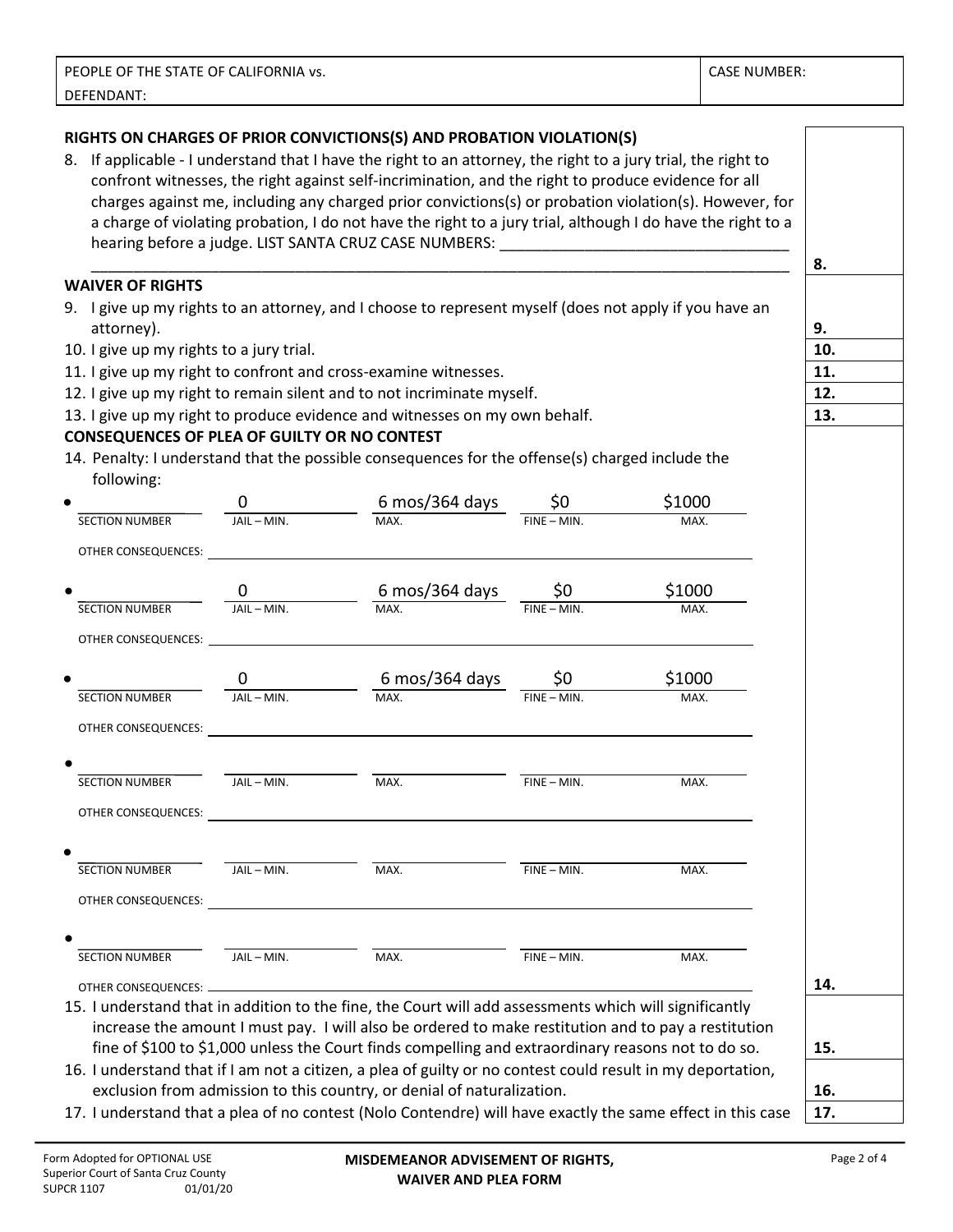| PEOPLE OF THE STATE OF CALIFORNIA vs. | <b>CASE NUMBER:</b> |
|---------------------------------------|---------------------|
| DEFENDANT:                            |                     |

#### **RIGHTS ON CHARGES OF PRIOR CONVICTIONS(S) AND PROBATION VIOLATION(S)**

8. If applicable - I understand that I have the right to an attorney, the right to a jury trial, the right to confront witnesses, the right against self-incrimination, and the right to produce evidence for all charges against me, including any charged prior convictions(s) or probation violation(s). However, for a charge of violating probation, I do not have the right to a jury trial, although I do have the right to a hearing before a judge. LIST SANTA CRUZ CASE NUMBERS:

\_\_\_\_\_\_\_\_\_\_\_\_\_\_\_\_\_\_\_\_\_\_\_\_\_\_\_\_\_\_\_\_\_\_\_\_\_\_\_\_\_\_\_\_\_\_\_\_\_\_\_\_\_\_\_\_\_\_\_\_\_\_\_\_\_\_\_\_\_\_\_\_\_\_\_\_\_\_\_\_\_\_

#### **WAIVER OF RIGHTS**

- 9. I give up my rights to an attorney, and I choose to represent myself (does not apply if you have an attorney).
- 10. I give up my rights to a jury trial. **10.**
- 11. I give up my right to confront and cross-examine witnesses. **11.**
- 12. I give up my right to remain silent and to not incriminate myself. **12.**
- 13. I give up my right to produce evidence and witnesses on my own behalf. **13.**

#### **CONSEQUENCES OF PLEA OF GUILTY OR NO CONTEST**

| 14. Penalty: I understand that the possible consequences for the offense(s) charged include the |  |
|-------------------------------------------------------------------------------------------------|--|
| following:                                                                                      |  |

|                            | 0             | 6 mos/364 days                                                                                                        | \$0            | \$1000 |
|----------------------------|---------------|-----------------------------------------------------------------------------------------------------------------------|----------------|--------|
| <b>SECTION NUMBER</b>      | JAIL - MIN.   | MAX.                                                                                                                  | $FINE - MIN.$  | MAX.   |
| OTHER CONSEQUENCES:        |               | <u> 1989 - Johann John Stoff, deutscher Stoffen und der Stoffen und der Stoffen und der Stoffen und der Stoffen u</u> |                |        |
|                            | 0             | $6 \text{ mos}/364 \text{ days}$ $\frac{\text{$0}}{20}$                                                               |                | \$1000 |
| <b>SECTION NUMBER</b>      | JAIL - MIN.   | MAX.                                                                                                                  | $FINE - MIN.$  | MAX.   |
|                            |               |                                                                                                                       |                |        |
|                            |               | $0 \qquad 6 \text{ mos}/364 \text{ days} \qquad $0$                                                                   |                | \$1000 |
| <b>SECTION NUMBER</b>      | $JAIL - MIN.$ | MAX.                                                                                                                  | $FINE - MIN.$  | MAX.   |
|                            |               |                                                                                                                       |                |        |
| SECTION NUMBER             | JAIL - MIN.   | MAX.                                                                                                                  | $FINE - MIN.$  | MAX.   |
|                            |               |                                                                                                                       |                |        |
|                            |               |                                                                                                                       |                |        |
| SECTION NUMBER JAIL - MIN. |               | MAX.                                                                                                                  | $FINE - MIN$ . | MAX.   |
|                            |               |                                                                                                                       |                |        |
| SECTION NUMBER             | JAIL – MIN.   | MAX.                                                                                                                  | $FINE - MIN.$  | MAX.   |
|                            |               |                                                                                                                       |                |        |
|                            |               |                                                                                                                       |                |        |

increase the amount I must pay. I will also be ordered to make restitution and to pay a restitution fine of \$100 to \$1,000 unless the Court finds compelling and extraordinary reasons not to do so. **15.** 16. I understand that if I am not a citizen, a plea of guilty or no contest could result in my deportation,

exclusion from admission to this country, or denial of naturalization. **16.**

17. I understand that a plea of no contest (Nolo Contendre) will have exactly the same effect in this case **17.**

**8.**

**9.**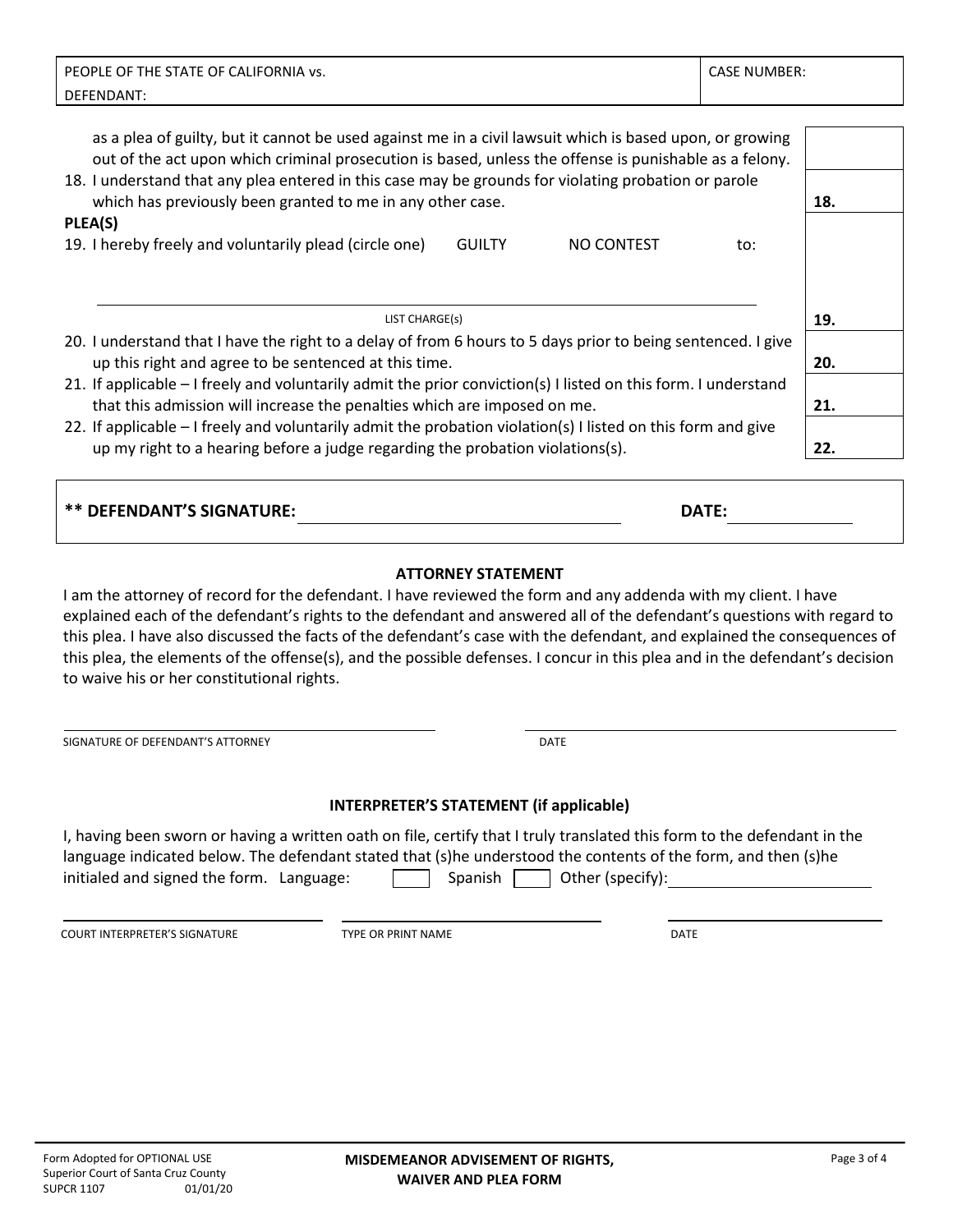| PEOPLE OF THE STATE OF CALIFORNIA vs.                                                                                                                                                                              | <b>CASE NUMBER:</b> |  |
|--------------------------------------------------------------------------------------------------------------------------------------------------------------------------------------------------------------------|---------------------|--|
| DEFENDANT:                                                                                                                                                                                                         |                     |  |
|                                                                                                                                                                                                                    |                     |  |
| as a plea of guilty, but it cannot be used against me in a civil lawsuit which is based upon, or growing<br>out of the act upon which criminal prosecution is based, unless the offense is punishable as a felony. |                     |  |
| 18. I understand that any plea entered in this case may be grounds for violating probation or parole<br>which has previously been granted to me in any other case.                                                 |                     |  |
| PLEA(S)                                                                                                                                                                                                            |                     |  |
| 19. I hereby freely and voluntarily plead (circle one)<br><b>GUILTY</b><br>NO CONTEST                                                                                                                              | to:                 |  |
|                                                                                                                                                                                                                    |                     |  |
|                                                                                                                                                                                                                    |                     |  |
| LIST CHARGE(s)                                                                                                                                                                                                     | 19.                 |  |
| 20. I understand that I have the right to a delay of from 6 hours to 5 days prior to being sentenced. I give                                                                                                       |                     |  |
| up this right and agree to be sentenced at this time.                                                                                                                                                              | 20.                 |  |
| 21. If applicable – I freely and voluntarily admit the prior conviction(s) I listed on this form. I understand                                                                                                     |                     |  |
| that this admission will increase the penalties which are imposed on me.                                                                                                                                           | 21.                 |  |
| 22. If applicable – I freely and voluntarily admit the probation violation(s) I listed on this form and give                                                                                                       |                     |  |
| up my right to a hearing before a judge regarding the probation violations(s).                                                                                                                                     | 22.                 |  |
|                                                                                                                                                                                                                    |                     |  |
|                                                                                                                                                                                                                    |                     |  |

|  | <b>ATTORNEY STATEMENT</b> |
|--|---------------------------|
|  |                           |

**\*\* DEFENDANT'S SIGNATURE: DATE:** 

I am the attorney of record for the defendant. I have reviewed the form and any addenda with my client. I have explained each of the defendant's rights to the defendant and answered all of the defendant's questions with regard to this plea. I have also discussed the facts of the defendant's case with the defendant, and explained the consequences of this plea, the elements of the offense(s), and the possible defenses. I concur in this plea and in the defendant's decision to waive his or her constitutional rights.

SIGNATURE OF DEFENDANT'S ATTORNEY **EXECUTE A SIGNATURE OF DEFENDANT'S ATTORNEY INTERPRETER'S STATEMENT (if applicable)** I, having been sworn or having a written oath on file, certify that I truly translated this form to the defendant in the language indicated below. The defendant stated that (s)he understood the contents of the form, and then (s)he initialed and signed the form. Language:  $\Box$  Spanish  $\Box$  Other (specify): COURT INTERPRETER'S SIGNATURE TYPE OR PRINT NAME DATE